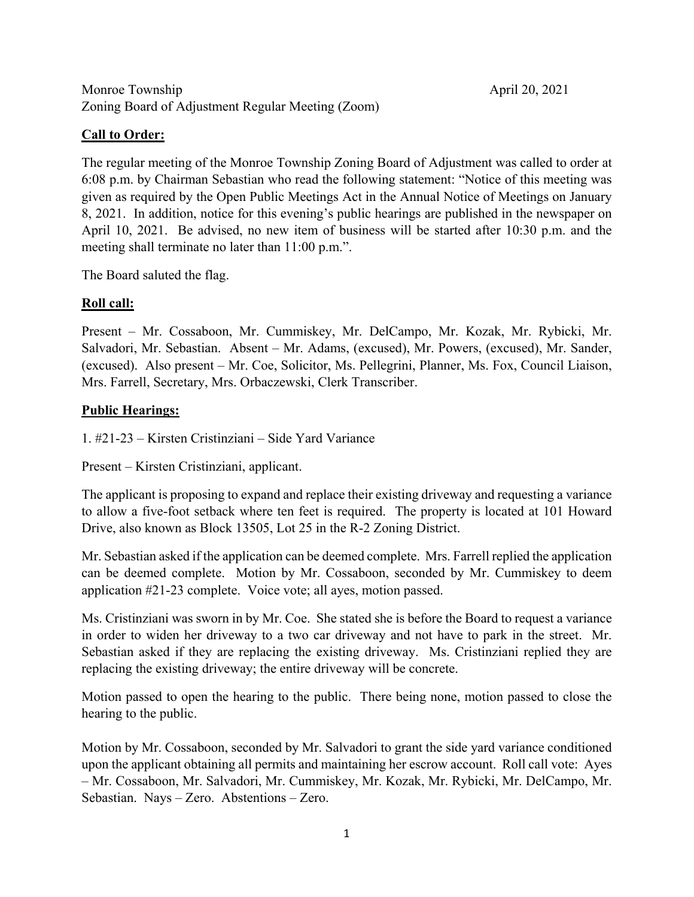# **Call to Order:**

The regular meeting of the Monroe Township Zoning Board of Adjustment was called to order at 6:08 p.m. by Chairman Sebastian who read the following statement: "Notice of this meeting was given as required by the Open Public Meetings Act in the Annual Notice of Meetings on January 8, 2021. In addition, notice for this evening's public hearings are published in the newspaper on April 10, 2021. Be advised, no new item of business will be started after 10:30 p.m. and the meeting shall terminate no later than 11:00 p.m.".

The Board saluted the flag.

# **Roll call:**

Present – Mr. Cossaboon, Mr. Cummiskey, Mr. DelCampo, Mr. Kozak, Mr. Rybicki, Mr. Salvadori, Mr. Sebastian. Absent – Mr. Adams, (excused), Mr. Powers, (excused), Mr. Sander, (excused). Also present – Mr. Coe, Solicitor, Ms. Pellegrini, Planner, Ms. Fox, Council Liaison, Mrs. Farrell, Secretary, Mrs. Orbaczewski, Clerk Transcriber.

# **Public Hearings:**

1. #21-23 – Kirsten Cristinziani – Side Yard Variance

Present – Kirsten Cristinziani, applicant.

The applicant is proposing to expand and replace their existing driveway and requesting a variance to allow a five-foot setback where ten feet is required. The property is located at 101 Howard Drive, also known as Block 13505, Lot 25 in the R-2 Zoning District.

Mr. Sebastian asked if the application can be deemed complete. Mrs. Farrell replied the application can be deemed complete. Motion by Mr. Cossaboon, seconded by Mr. Cummiskey to deem application #21-23 complete. Voice vote; all ayes, motion passed.

Ms. Cristinziani was sworn in by Mr. Coe. She stated she is before the Board to request a variance in order to widen her driveway to a two car driveway and not have to park in the street. Mr. Sebastian asked if they are replacing the existing driveway. Ms. Cristinziani replied they are replacing the existing driveway; the entire driveway will be concrete.

Motion passed to open the hearing to the public. There being none, motion passed to close the hearing to the public.

Motion by Mr. Cossaboon, seconded by Mr. Salvadori to grant the side yard variance conditioned upon the applicant obtaining all permits and maintaining her escrow account. Roll call vote: Ayes – Mr. Cossaboon, Mr. Salvadori, Mr. Cummiskey, Mr. Kozak, Mr. Rybicki, Mr. DelCampo, Mr. Sebastian. Nays – Zero. Abstentions – Zero.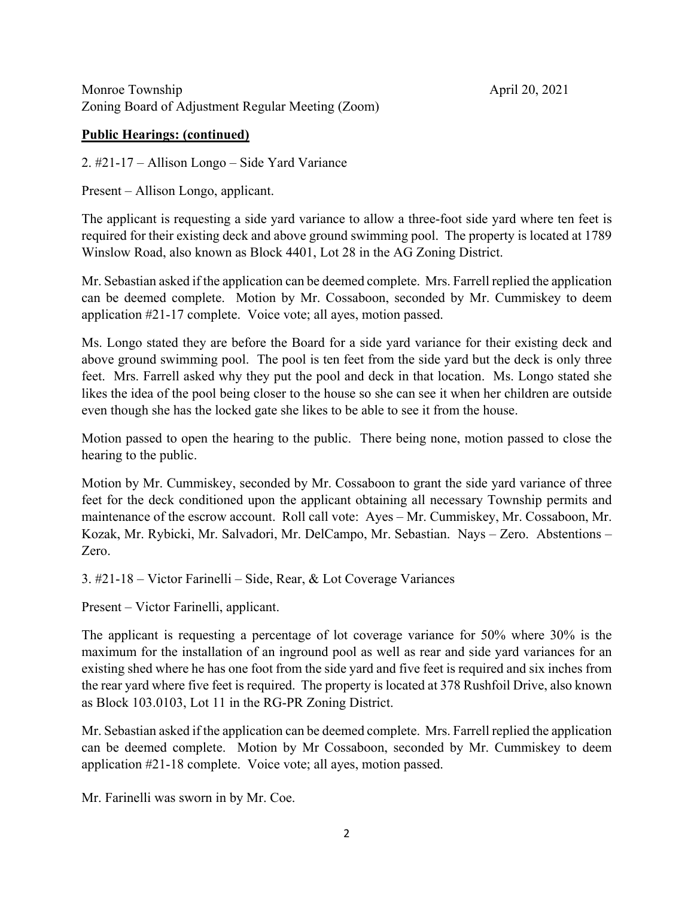#### **Public Hearings: (continued)**

2. #21-17 – Allison Longo – Side Yard Variance

Present – Allison Longo, applicant.

The applicant is requesting a side yard variance to allow a three-foot side yard where ten feet is required for their existing deck and above ground swimming pool. The property is located at 1789 Winslow Road, also known as Block 4401, Lot 28 in the AG Zoning District.

Mr. Sebastian asked if the application can be deemed complete. Mrs. Farrell replied the application can be deemed complete. Motion by Mr. Cossaboon, seconded by Mr. Cummiskey to deem application #21-17 complete. Voice vote; all ayes, motion passed.

Ms. Longo stated they are before the Board for a side yard variance for their existing deck and above ground swimming pool. The pool is ten feet from the side yard but the deck is only three feet. Mrs. Farrell asked why they put the pool and deck in that location. Ms. Longo stated she likes the idea of the pool being closer to the house so she can see it when her children are outside even though she has the locked gate she likes to be able to see it from the house.

Motion passed to open the hearing to the public. There being none, motion passed to close the hearing to the public.

Motion by Mr. Cummiskey, seconded by Mr. Cossaboon to grant the side yard variance of three feet for the deck conditioned upon the applicant obtaining all necessary Township permits and maintenance of the escrow account. Roll call vote: Ayes – Mr. Cummiskey, Mr. Cossaboon, Mr. Kozak, Mr. Rybicki, Mr. Salvadori, Mr. DelCampo, Mr. Sebastian. Nays – Zero. Abstentions – Zero.

3. #21-18 – Victor Farinelli – Side, Rear, & Lot Coverage Variances

Present – Victor Farinelli, applicant.

The applicant is requesting a percentage of lot coverage variance for 50% where 30% is the maximum for the installation of an inground pool as well as rear and side yard variances for an existing shed where he has one foot from the side yard and five feet is required and six inches from the rear yard where five feet is required. The property is located at 378 Rushfoil Drive, also known as Block 103.0103, Lot 11 in the RG-PR Zoning District.

Mr. Sebastian asked if the application can be deemed complete. Mrs. Farrell replied the application can be deemed complete. Motion by Mr Cossaboon, seconded by Mr. Cummiskey to deem application #21-18 complete. Voice vote; all ayes, motion passed.

Mr. Farinelli was sworn in by Mr. Coe.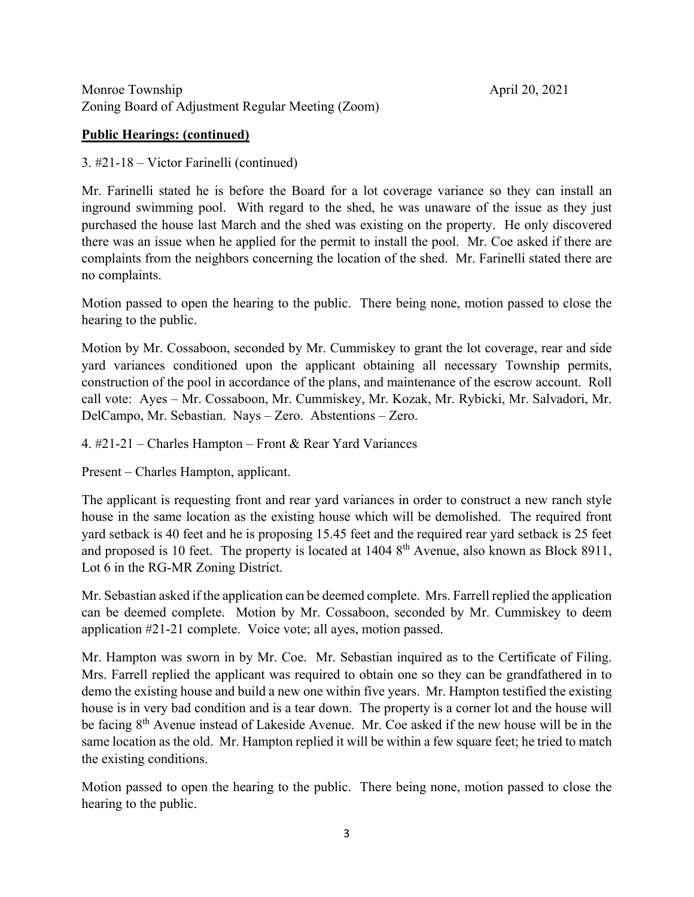## **Public Hearings: (continued)**

#### 3. #21-18 – Victor Farinelli (continued)

Mr. Farinelli stated he is before the Board for a lot coverage variance so they can install an inground swimming pool. With regard to the shed, he was unaware of the issue as they just purchased the house last March and the shed was existing on the property. He only discovered there was an issue when he applied for the permit to install the pool. Mr. Coe asked if there are complaints from the neighbors concerning the location of the shed. Mr. Farinelli stated there are no complaints.

Motion passed to open the hearing to the public. There being none, motion passed to close the hearing to the public.

Motion by Mr. Cossaboon, seconded by Mr. Cummiskey to grant the lot coverage, rear and side yard variances conditioned upon the applicant obtaining all necessary Township permits, construction of the pool in accordance of the plans, and maintenance of the escrow account. Roll call vote: Ayes – Mr. Cossaboon, Mr. Cummiskey, Mr. Kozak, Mr. Rybicki, Mr. Salvadori, Mr. DelCampo, Mr. Sebastian. Nays – Zero. Abstentions – Zero.

4. #21-21 – Charles Hampton – Front & Rear Yard Variances

Present – Charles Hampton, applicant.

The applicant is requesting front and rear yard variances in order to construct a new ranch style house in the same location as the existing house which will be demolished. The required front yard setback is 40 feet and he is proposing 15.45 feet and the required rear yard setback is 25 feet and proposed is 10 feet. The property is located at  $14048<sup>th</sup>$  Avenue, also known as Block 8911, Lot 6 in the RG-MR Zoning District.

Mr. Sebastian asked if the application can be deemed complete. Mrs. Farrell replied the application can be deemed complete. Motion by Mr. Cossaboon, seconded by Mr. Cummiskey to deem application #21-21 complete. Voice vote; all ayes, motion passed.

Mr. Hampton was sworn in by Mr. Coe. Mr. Sebastian inquired as to the Certificate of Filing. Mrs. Farrell replied the applicant was required to obtain one so they can be grandfathered in to demo the existing house and build a new one within five years. Mr. Hampton testified the existing house is in very bad condition and is a tear down. The property is a corner lot and the house will be facing 8<sup>th</sup> Avenue instead of Lakeside Avenue. Mr. Coe asked if the new house will be in the same location as the old. Mr. Hampton replied it will be within a few square feet; he tried to match the existing conditions.

Motion passed to open the hearing to the public. There being none, motion passed to close the hearing to the public.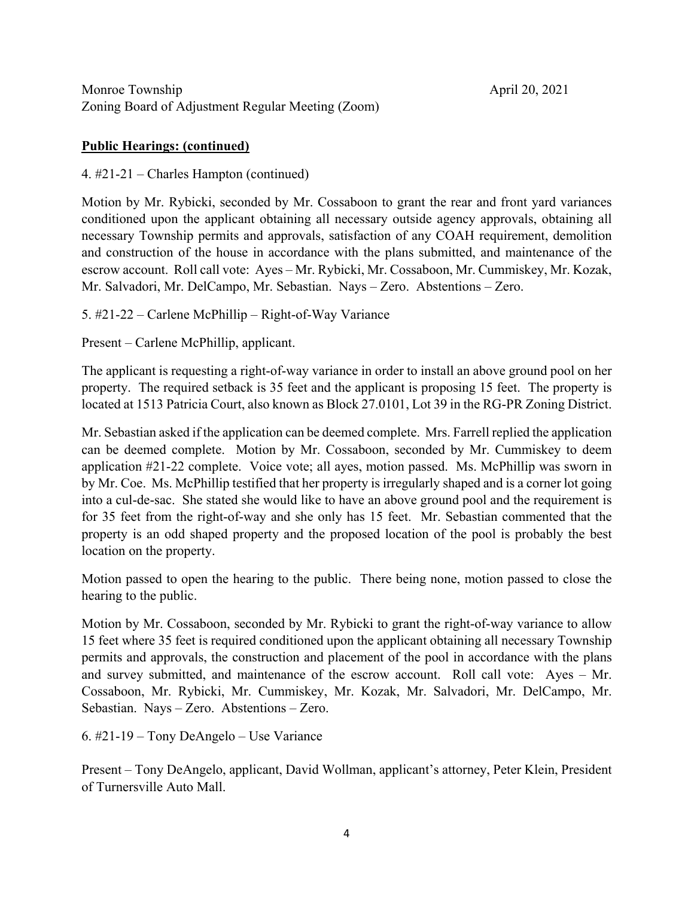#### **Public Hearings: (continued)**

4. #21-21 – Charles Hampton (continued)

Motion by Mr. Rybicki, seconded by Mr. Cossaboon to grant the rear and front yard variances conditioned upon the applicant obtaining all necessary outside agency approvals, obtaining all necessary Township permits and approvals, satisfaction of any COAH requirement, demolition and construction of the house in accordance with the plans submitted, and maintenance of the escrow account. Roll call vote: Ayes – Mr. Rybicki, Mr. Cossaboon, Mr. Cummiskey, Mr. Kozak, Mr. Salvadori, Mr. DelCampo, Mr. Sebastian. Nays – Zero. Abstentions – Zero.

5. #21-22 – Carlene McPhillip – Right-of-Way Variance

Present – Carlene McPhillip, applicant.

The applicant is requesting a right-of-way variance in order to install an above ground pool on her property. The required setback is 35 feet and the applicant is proposing 15 feet. The property is located at 1513 Patricia Court, also known as Block 27.0101, Lot 39 in the RG-PR Zoning District.

Mr. Sebastian asked if the application can be deemed complete. Mrs. Farrell replied the application can be deemed complete. Motion by Mr. Cossaboon, seconded by Mr. Cummiskey to deem application #21-22 complete. Voice vote; all ayes, motion passed. Ms. McPhillip was sworn in by Mr. Coe. Ms. McPhillip testified that her property is irregularly shaped and is a corner lot going into a cul-de-sac. She stated she would like to have an above ground pool and the requirement is for 35 feet from the right-of-way and she only has 15 feet. Mr. Sebastian commented that the property is an odd shaped property and the proposed location of the pool is probably the best location on the property.

Motion passed to open the hearing to the public. There being none, motion passed to close the hearing to the public.

Motion by Mr. Cossaboon, seconded by Mr. Rybicki to grant the right-of-way variance to allow 15 feet where 35 feet is required conditioned upon the applicant obtaining all necessary Township permits and approvals, the construction and placement of the pool in accordance with the plans and survey submitted, and maintenance of the escrow account. Roll call vote: Ayes – Mr. Cossaboon, Mr. Rybicki, Mr. Cummiskey, Mr. Kozak, Mr. Salvadori, Mr. DelCampo, Mr. Sebastian. Nays – Zero. Abstentions – Zero.

6. #21-19 – Tony DeAngelo – Use Variance

Present – Tony DeAngelo, applicant, David Wollman, applicant's attorney, Peter Klein, President of Turnersville Auto Mall.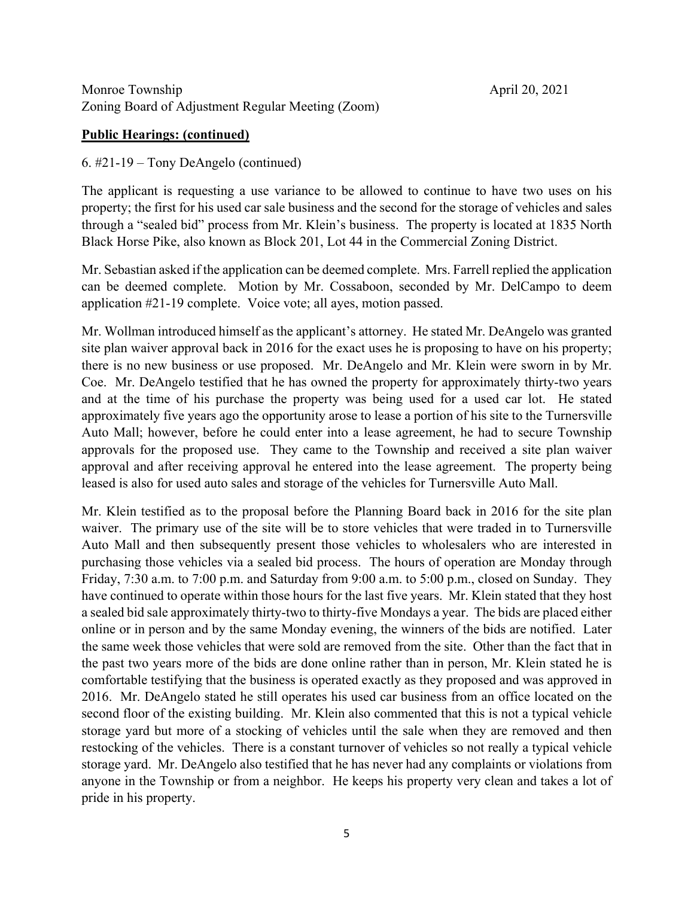#### **Public Hearings: (continued)**

#### 6. #21-19 – Tony DeAngelo (continued)

The applicant is requesting a use variance to be allowed to continue to have two uses on his property; the first for his used car sale business and the second for the storage of vehicles and sales through a "sealed bid" process from Mr. Klein's business. The property is located at 1835 North Black Horse Pike, also known as Block 201, Lot 44 in the Commercial Zoning District.

Mr. Sebastian asked if the application can be deemed complete. Mrs. Farrell replied the application can be deemed complete. Motion by Mr. Cossaboon, seconded by Mr. DelCampo to deem application #21-19 complete. Voice vote; all ayes, motion passed.

Mr. Wollman introduced himself as the applicant's attorney. He stated Mr. DeAngelo was granted site plan waiver approval back in 2016 for the exact uses he is proposing to have on his property; there is no new business or use proposed. Mr. DeAngelo and Mr. Klein were sworn in by Mr. Coe. Mr. DeAngelo testified that he has owned the property for approximately thirty-two years and at the time of his purchase the property was being used for a used car lot. He stated approximately five years ago the opportunity arose to lease a portion of his site to the Turnersville Auto Mall; however, before he could enter into a lease agreement, he had to secure Township approvals for the proposed use. They came to the Township and received a site plan waiver approval and after receiving approval he entered into the lease agreement. The property being leased is also for used auto sales and storage of the vehicles for Turnersville Auto Mall.

Mr. Klein testified as to the proposal before the Planning Board back in 2016 for the site plan waiver. The primary use of the site will be to store vehicles that were traded in to Turnersville Auto Mall and then subsequently present those vehicles to wholesalers who are interested in purchasing those vehicles via a sealed bid process. The hours of operation are Monday through Friday, 7:30 a.m. to 7:00 p.m. and Saturday from 9:00 a.m. to 5:00 p.m., closed on Sunday. They have continued to operate within those hours for the last five years. Mr. Klein stated that they host a sealed bid sale approximately thirty-two to thirty-five Mondays a year. The bids are placed either online or in person and by the same Monday evening, the winners of the bids are notified. Later the same week those vehicles that were sold are removed from the site. Other than the fact that in the past two years more of the bids are done online rather than in person, Mr. Klein stated he is comfortable testifying that the business is operated exactly as they proposed and was approved in 2016. Mr. DeAngelo stated he still operates his used car business from an office located on the second floor of the existing building. Mr. Klein also commented that this is not a typical vehicle storage yard but more of a stocking of vehicles until the sale when they are removed and then restocking of the vehicles. There is a constant turnover of vehicles so not really a typical vehicle storage yard. Mr. DeAngelo also testified that he has never had any complaints or violations from anyone in the Township or from a neighbor. He keeps his property very clean and takes a lot of pride in his property.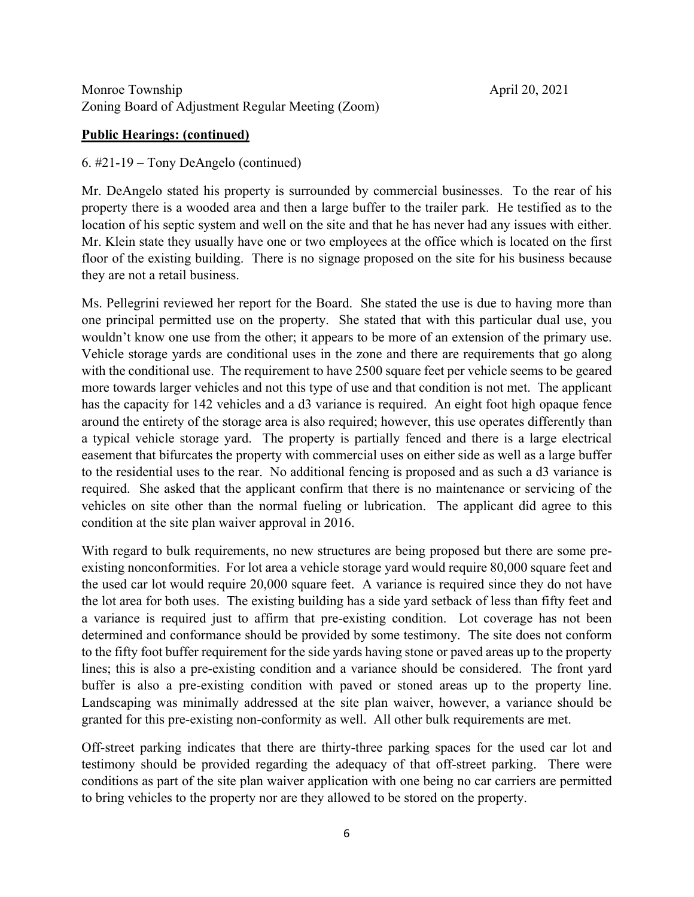## **Public Hearings: (continued)**

#### 6. #21-19 – Tony DeAngelo (continued)

Mr. DeAngelo stated his property is surrounded by commercial businesses. To the rear of his property there is a wooded area and then a large buffer to the trailer park. He testified as to the location of his septic system and well on the site and that he has never had any issues with either. Mr. Klein state they usually have one or two employees at the office which is located on the first floor of the existing building. There is no signage proposed on the site for his business because they are not a retail business.

Ms. Pellegrini reviewed her report for the Board. She stated the use is due to having more than one principal permitted use on the property. She stated that with this particular dual use, you wouldn't know one use from the other; it appears to be more of an extension of the primary use. Vehicle storage yards are conditional uses in the zone and there are requirements that go along with the conditional use. The requirement to have 2500 square feet per vehicle seems to be geared more towards larger vehicles and not this type of use and that condition is not met. The applicant has the capacity for 142 vehicles and a d3 variance is required. An eight foot high opaque fence around the entirety of the storage area is also required; however, this use operates differently than a typical vehicle storage yard. The property is partially fenced and there is a large electrical easement that bifurcates the property with commercial uses on either side as well as a large buffer to the residential uses to the rear. No additional fencing is proposed and as such a d3 variance is required. She asked that the applicant confirm that there is no maintenance or servicing of the vehicles on site other than the normal fueling or lubrication. The applicant did agree to this condition at the site plan waiver approval in 2016.

With regard to bulk requirements, no new structures are being proposed but there are some preexisting nonconformities. For lot area a vehicle storage yard would require 80,000 square feet and the used car lot would require 20,000 square feet. A variance is required since they do not have the lot area for both uses. The existing building has a side yard setback of less than fifty feet and a variance is required just to affirm that pre-existing condition. Lot coverage has not been determined and conformance should be provided by some testimony. The site does not conform to the fifty foot buffer requirement for the side yards having stone or paved areas up to the property lines; this is also a pre-existing condition and a variance should be considered. The front yard buffer is also a pre-existing condition with paved or stoned areas up to the property line. Landscaping was minimally addressed at the site plan waiver, however, a variance should be granted for this pre-existing non-conformity as well. All other bulk requirements are met.

Off-street parking indicates that there are thirty-three parking spaces for the used car lot and testimony should be provided regarding the adequacy of that off-street parking. There were conditions as part of the site plan waiver application with one being no car carriers are permitted to bring vehicles to the property nor are they allowed to be stored on the property.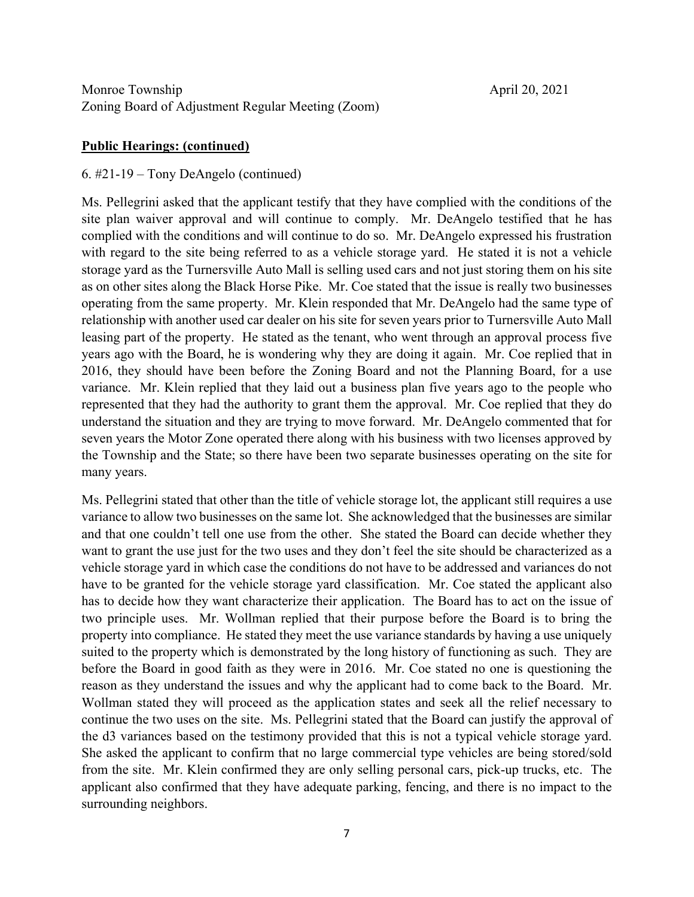#### **Public Hearings: (continued)**

#### 6. #21-19 – Tony DeAngelo (continued)

Ms. Pellegrini asked that the applicant testify that they have complied with the conditions of the site plan waiver approval and will continue to comply. Mr. DeAngelo testified that he has complied with the conditions and will continue to do so. Mr. DeAngelo expressed his frustration with regard to the site being referred to as a vehicle storage yard. He stated it is not a vehicle storage yard as the Turnersville Auto Mall is selling used cars and not just storing them on his site as on other sites along the Black Horse Pike. Mr. Coe stated that the issue is really two businesses operating from the same property. Mr. Klein responded that Mr. DeAngelo had the same type of relationship with another used car dealer on his site for seven years prior to Turnersville Auto Mall leasing part of the property. He stated as the tenant, who went through an approval process five years ago with the Board, he is wondering why they are doing it again. Mr. Coe replied that in 2016, they should have been before the Zoning Board and not the Planning Board, for a use variance. Mr. Klein replied that they laid out a business plan five years ago to the people who represented that they had the authority to grant them the approval. Mr. Coe replied that they do understand the situation and they are trying to move forward. Mr. DeAngelo commented that for seven years the Motor Zone operated there along with his business with two licenses approved by the Township and the State; so there have been two separate businesses operating on the site for many years.

Ms. Pellegrini stated that other than the title of vehicle storage lot, the applicant still requires a use variance to allow two businesses on the same lot. She acknowledged that the businesses are similar and that one couldn't tell one use from the other. She stated the Board can decide whether they want to grant the use just for the two uses and they don't feel the site should be characterized as a vehicle storage yard in which case the conditions do not have to be addressed and variances do not have to be granted for the vehicle storage yard classification. Mr. Coe stated the applicant also has to decide how they want characterize their application. The Board has to act on the issue of two principle uses. Mr. Wollman replied that their purpose before the Board is to bring the property into compliance. He stated they meet the use variance standards by having a use uniquely suited to the property which is demonstrated by the long history of functioning as such. They are before the Board in good faith as they were in 2016. Mr. Coe stated no one is questioning the reason as they understand the issues and why the applicant had to come back to the Board. Mr. Wollman stated they will proceed as the application states and seek all the relief necessary to continue the two uses on the site. Ms. Pellegrini stated that the Board can justify the approval of the d3 variances based on the testimony provided that this is not a typical vehicle storage yard. She asked the applicant to confirm that no large commercial type vehicles are being stored/sold from the site. Mr. Klein confirmed they are only selling personal cars, pick-up trucks, etc. The applicant also confirmed that they have adequate parking, fencing, and there is no impact to the surrounding neighbors.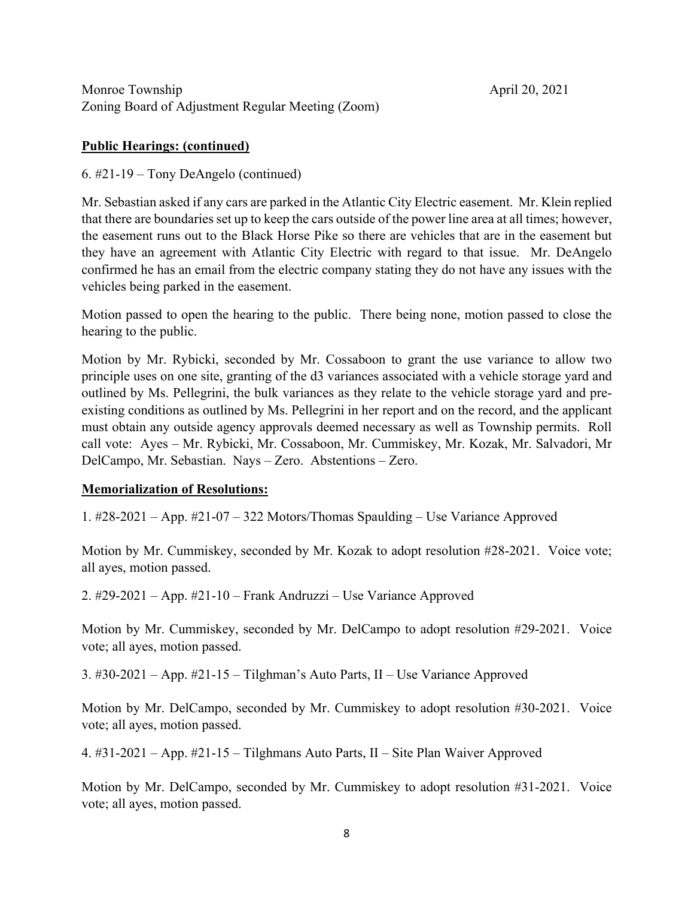#### **Public Hearings: (continued)**

6. #21-19 – Tony DeAngelo (continued)

Mr. Sebastian asked if any cars are parked in the Atlantic City Electric easement. Mr. Klein replied that there are boundaries set up to keep the cars outside of the power line area at all times; however, the easement runs out to the Black Horse Pike so there are vehicles that are in the easement but they have an agreement with Atlantic City Electric with regard to that issue. Mr. DeAngelo confirmed he has an email from the electric company stating they do not have any issues with the vehicles being parked in the easement.

Motion passed to open the hearing to the public. There being none, motion passed to close the hearing to the public.

Motion by Mr. Rybicki, seconded by Mr. Cossaboon to grant the use variance to allow two principle uses on one site, granting of the d3 variances associated with a vehicle storage yard and outlined by Ms. Pellegrini, the bulk variances as they relate to the vehicle storage yard and preexisting conditions as outlined by Ms. Pellegrini in her report and on the record, and the applicant must obtain any outside agency approvals deemed necessary as well as Township permits. Roll call vote: Ayes – Mr. Rybicki, Mr. Cossaboon, Mr. Cummiskey, Mr. Kozak, Mr. Salvadori, Mr DelCampo, Mr. Sebastian. Nays – Zero. Abstentions – Zero.

# **Memorialization of Resolutions:**

1. #28-2021 – App. #21-07 – 322 Motors/Thomas Spaulding – Use Variance Approved

Motion by Mr. Cummiskey, seconded by Mr. Kozak to adopt resolution #28-2021. Voice vote; all ayes, motion passed.

2. #29-2021 – App. #21-10 – Frank Andruzzi – Use Variance Approved

Motion by Mr. Cummiskey, seconded by Mr. DelCampo to adopt resolution #29-2021. Voice vote; all ayes, motion passed.

3. #30-2021 – App. #21-15 – Tilghman's Auto Parts, II – Use Variance Approved

Motion by Mr. DelCampo, seconded by Mr. Cummiskey to adopt resolution #30-2021. Voice vote; all ayes, motion passed.

4. #31-2021 – App. #21-15 – Tilghmans Auto Parts, II – Site Plan Waiver Approved

Motion by Mr. DelCampo, seconded by Mr. Cummiskey to adopt resolution #31-2021. Voice vote; all ayes, motion passed.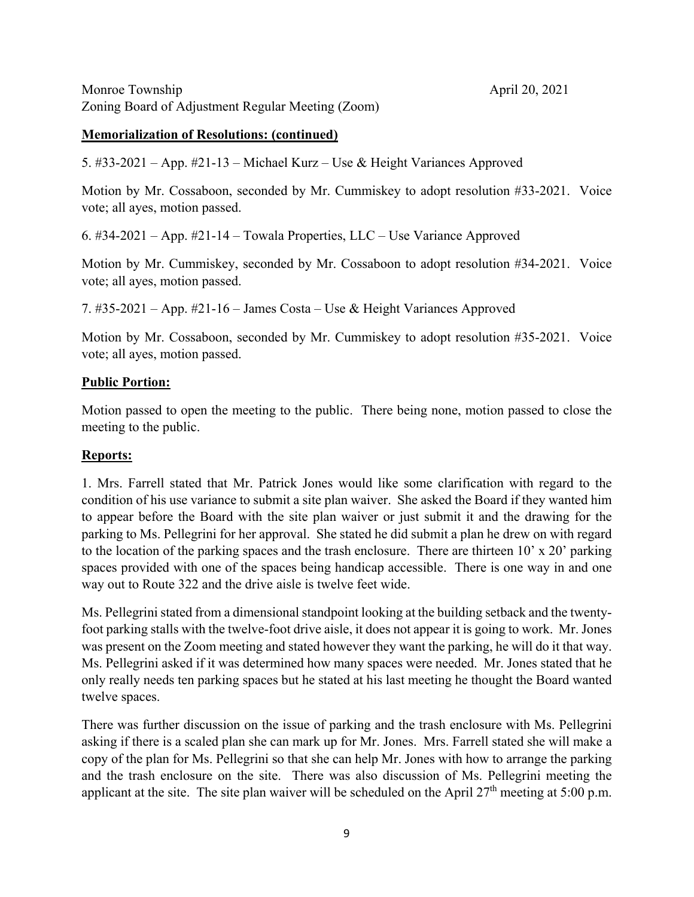#### **Memorialization of Resolutions: (continued)**

5. #33-2021 – App. #21-13 – Michael Kurz – Use & Height Variances Approved

Motion by Mr. Cossaboon, seconded by Mr. Cummiskey to adopt resolution #33-2021. Voice vote; all ayes, motion passed.

6. #34-2021 – App. #21-14 – Towala Properties, LLC – Use Variance Approved

Motion by Mr. Cummiskey, seconded by Mr. Cossaboon to adopt resolution #34-2021. Voice vote; all ayes, motion passed.

7. #35-2021 – App. #21-16 – James Costa – Use & Height Variances Approved

Motion by Mr. Cossaboon, seconded by Mr. Cummiskey to adopt resolution #35-2021. Voice vote; all ayes, motion passed.

#### **Public Portion:**

Motion passed to open the meeting to the public. There being none, motion passed to close the meeting to the public.

## **Reports:**

1. Mrs. Farrell stated that Mr. Patrick Jones would like some clarification with regard to the condition of his use variance to submit a site plan waiver. She asked the Board if they wanted him to appear before the Board with the site plan waiver or just submit it and the drawing for the parking to Ms. Pellegrini for her approval. She stated he did submit a plan he drew on with regard to the location of the parking spaces and the trash enclosure. There are thirteen  $10' \times 20'$  parking spaces provided with one of the spaces being handicap accessible. There is one way in and one way out to Route 322 and the drive aisle is twelve feet wide.

Ms. Pellegrini stated from a dimensional standpoint looking at the building setback and the twentyfoot parking stalls with the twelve-foot drive aisle, it does not appear it is going to work. Mr. Jones was present on the Zoom meeting and stated however they want the parking, he will do it that way. Ms. Pellegrini asked if it was determined how many spaces were needed. Mr. Jones stated that he only really needs ten parking spaces but he stated at his last meeting he thought the Board wanted twelve spaces.

There was further discussion on the issue of parking and the trash enclosure with Ms. Pellegrini asking if there is a scaled plan she can mark up for Mr. Jones. Mrs. Farrell stated she will make a copy of the plan for Ms. Pellegrini so that she can help Mr. Jones with how to arrange the parking and the trash enclosure on the site. There was also discussion of Ms. Pellegrini meeting the applicant at the site. The site plan waiver will be scheduled on the April  $27<sup>th</sup>$  meeting at 5:00 p.m.